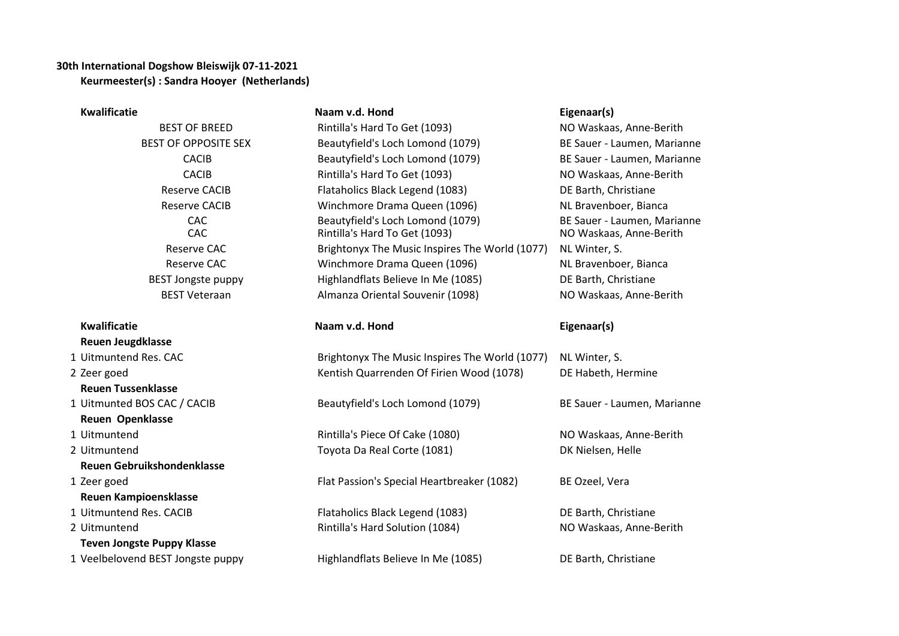## **30th International Dogshow Bleiswijk 07-11-2021 Keurmeester(s) : Sandra Hooyer (Netherlands)**

| <b>Kwalificatie</b>               | Naam v.d. Hond                                                    | Eigenaar(s)                                            |
|-----------------------------------|-------------------------------------------------------------------|--------------------------------------------------------|
| <b>BEST OF BREED</b>              | Rintilla's Hard To Get (1093)                                     | NO Waskaas, Anne-Berith                                |
| <b>BEST OF OPPOSITE SEX</b>       | Beautyfield's Loch Lomond (1079)                                  | BE Sauer - Laumen, Marianne                            |
| <b>CACIB</b>                      | Beautyfield's Loch Lomond (1079)                                  | BE Sauer - Laumen, Marianne                            |
| <b>CACIB</b>                      | Rintilla's Hard To Get (1093)                                     | NO Waskaas, Anne-Berith                                |
| <b>Reserve CACIB</b>              | Flataholics Black Legend (1083)                                   | DE Barth, Christiane                                   |
| <b>Reserve CACIB</b>              | Winchmore Drama Queen (1096)                                      | NL Bravenboer, Bianca                                  |
| CAC<br>CAC                        | Beautyfield's Loch Lomond (1079)<br>Rintilla's Hard To Get (1093) | BE Sauer - Laumen, Marianne<br>NO Waskaas, Anne-Berith |
| <b>Reserve CAC</b>                | Brightonyx The Music Inspires The World (1077)                    | NL Winter, S.                                          |
| Reserve CAC                       | Winchmore Drama Queen (1096)                                      | NL Bravenboer, Bianca                                  |
| <b>BEST Jongste puppy</b>         | Highlandflats Believe In Me (1085)                                | DE Barth, Christiane                                   |
| <b>BEST Veteraan</b>              | Almanza Oriental Souvenir (1098)                                  | NO Waskaas, Anne-Berith                                |
| <b>Kwalificatie</b>               | Naam v.d. Hond                                                    | Eigenaar(s)                                            |
| <b>Reuen Jeugdklasse</b>          |                                                                   |                                                        |
| 1 Uitmuntend Res. CAC             | Brightonyx The Music Inspires The World (1077)                    | NL Winter, S.                                          |
| 2 Zeer goed                       | Kentish Quarrenden Of Firien Wood (1078)                          | DE Habeth, Hermine                                     |
| <b>Reuen Tussenklasse</b>         |                                                                   |                                                        |
| 1 Uitmunted BOS CAC / CACIB       | Beautyfield's Loch Lomond (1079)                                  | BE Sauer - Laumen, Marianne                            |
| <b>Reuen Openklasse</b>           |                                                                   |                                                        |
| 1 Uitmuntend                      | Rintilla's Piece Of Cake (1080)                                   | NO Waskaas, Anne-Berith                                |
| 2 Uitmuntend                      | Toyota Da Real Corte (1081)                                       | DK Nielsen, Helle                                      |
| <b>Reuen Gebruikshondenklasse</b> |                                                                   |                                                        |
| 1 Zeer goed                       | Flat Passion's Special Heartbreaker (1082)                        | BE Ozeel, Vera                                         |
| <b>Reuen Kampioensklasse</b>      |                                                                   |                                                        |
| 1 Uitmuntend Res. CACIB           | Flataholics Black Legend (1083)                                   | DE Barth, Christiane                                   |
| 2 Uitmuntend                      | Rintilla's Hard Solution (1084)                                   | NO Waskaas, Anne-Berith                                |
| <b>Teven Jongste Puppy Klasse</b> |                                                                   |                                                        |
| 1 Veelbelovend BEST Jongste puppy | Highlandflats Believe In Me (1085)                                | DE Barth, Christiane                                   |